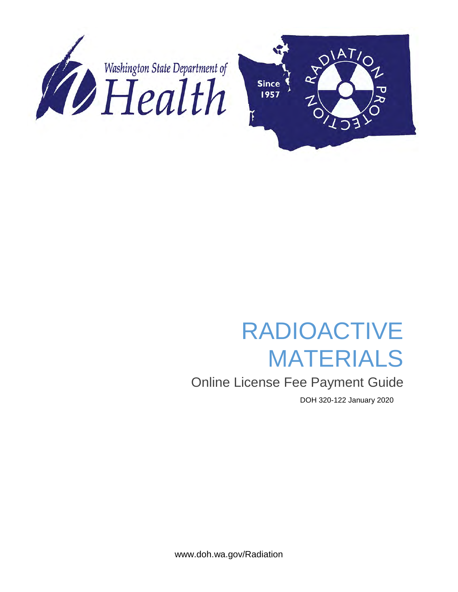

# RADIOACTIVE MATERIALS

## Online License Fee Payment Guide

DOH 320-122 January 2020

www.doh.wa.gov/Radiation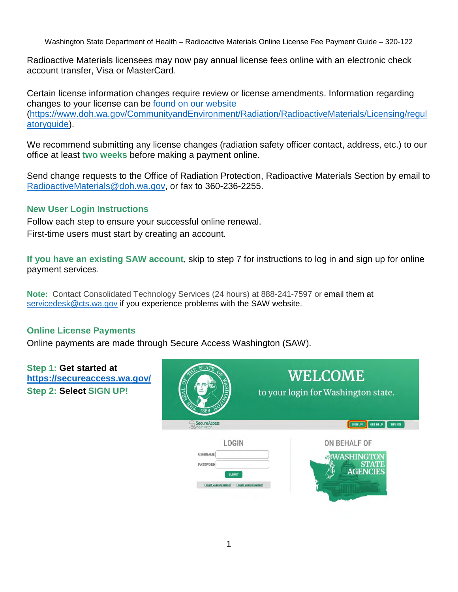Radioactive Materials licensees may now pay annual license fees online with an electronic check account transfer, Visa or MasterCard.

Certain license information changes require review or license amendments. Information regarding changes to your license can be [found on our website](https://www.doh.wa.gov/CommunityandEnvironment/Radiation/RadioactiveMaterials/Licensing/regulatoryguide) [\(https://www.doh.wa.gov/CommunityandEnvironment/Radiation/RadioactiveMaterials/Licensing/regul](https://www.doh.wa.gov/CommunityandEnvironment/Radiation/RadioactiveMaterials/Licensing/regulatoryguide) [atoryguide\)](https://www.doh.wa.gov/CommunityandEnvironment/Radiation/RadioactiveMaterials/Licensing/regulatoryguide).

We recommend submitting any license changes (radiation safety officer contact, address, etc.) to our office at least **two weeks** before making a payment online.

Send change requests to the Office of Radiation Protection, Radioactive Materials Section by email to [RadioactiveMaterials@doh.wa.gov,](mailto:RadioactiveMaterials@doh.wa.gov) or fax to 360-236-2255.

#### **New User Login Instructions**

Follow each step to ensure your successful online renewal. First-time users must start by creating an account.

**If you have an existing SAW account**, skip to step 7 for instructions to log in and sign up for online payment services.

**Note:** Contact Consolidated Technology Services (24 hours) at 888-241-7597 or email them at [servicedesk@cts.wa.gov](mailto:servicedesk@cts.wa.gov) if you experience problems with the SAW website.

### **Online License Payments**

Online payments are made through Secure Access Washington (SAW).

| Step 1: Get started at<br>https://secureaccess.wa.gov/<br>Step 2: Select SIGN UP! | TA 1<br>õ<br><b>ASHI</b><br>1889                                                                              | WELCOME<br>to your login for Washington state.               |
|-----------------------------------------------------------------------------------|---------------------------------------------------------------------------------------------------------------|--------------------------------------------------------------|
|                                                                                   | SecureAccess                                                                                                  | TIPS ON<br><b>GET HELP</b>                                   |
|                                                                                   | <b>LOGIN</b><br><b>USERNAME</b><br>PASSWORD<br><b>SUBMIT</b><br>Forgot your username?   Forgot your password? | ON BEHALF OF<br><b>ASHINGTOM</b><br>STATF<br><b>AGENCIES</b> |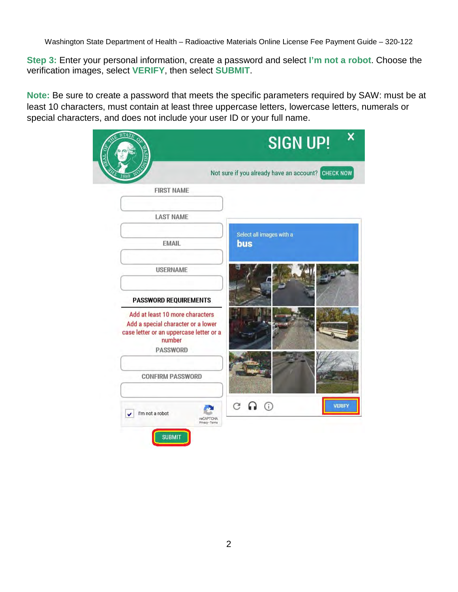**Step 3:** Enter your personal information, create a password and select **I'm not a robot**. Choose the verification images, select **VERIFY**, then select **SUBMIT**.

**Note:** Be sure to create a password that meets the specific parameters required by SAW: must be at least 10 characters, must contain at least three uppercase letters, lowercase letters, numerals or special characters, and does not include your user ID or your full name.

| 山名                                                                                                                                            | <b>SIGN UP!</b>                                                      |
|-----------------------------------------------------------------------------------------------------------------------------------------------|----------------------------------------------------------------------|
|                                                                                                                                               | <b>CHECK NOW</b><br>Not sure if you already have an account?         |
| <b>FIRST NAME</b>                                                                                                                             |                                                                      |
| <b>LAST NAME</b>                                                                                                                              |                                                                      |
| <b>EMAIL</b>                                                                                                                                  | Select all images with a<br><b>bus</b>                               |
| <b>USERNAME</b>                                                                                                                               |                                                                      |
| <b>PASSWORD REQUIREMENTS</b>                                                                                                                  |                                                                      |
| Add at least 10 more characters<br>Add a special character or a lower<br>case letter or an uppercase letter or a<br>number<br><b>PASSWORD</b> |                                                                      |
| <b>CONFIRM PASSWORD</b>                                                                                                                       |                                                                      |
| I'm not a robot<br>۷                                                                                                                          | C<br>$\odot$<br><b>VERIFY</b><br><b>reCAPTCHA</b><br>Privacy - Terma |
| <b>SUBMIT</b>                                                                                                                                 |                                                                      |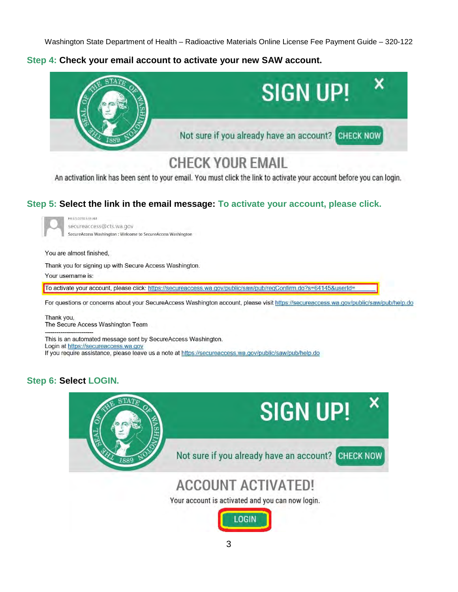**Step 4: Check your email account to activate your new SAW account.**



# **CHECK YOUR EMAIL**

An activation link has been sent to your email. You must click the link to activate your account before you can login.

### **Step 5: Select the link in the email message: To activate your account, please click.**

Fri 8/3/2018 8:55 AM secureaccess@cts.wa.gov SecureAccess Washington : Welcome to SecureAccess Washington

You are almost finished,

Thank you for signing up with Secure Access Washington.

Your username is:

To activate your account, please click: https://secureaccess.wa.gov/public/saw/pub/regConfirm.do?s=64145&userId=

For questions or concerns about your SecureAccess Washington account, please visit https://secureaccess.wa.gov/public/saw/pub/help.do

Thank you, The Secure Access Washington Team

This is an automated message sent by SecureAccess Washington. Login at https://secureaccess.wa.gov If you require assistance, please leave us a note at https://secureaccess.wa.gov/public/saw/pub/help.do

### **Step 6: Select LOGIN.**



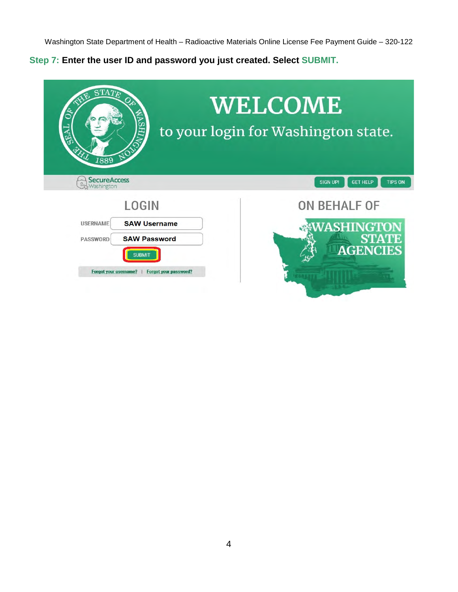**Step 7: Enter the user ID and password you just created. Select SUBMIT.**

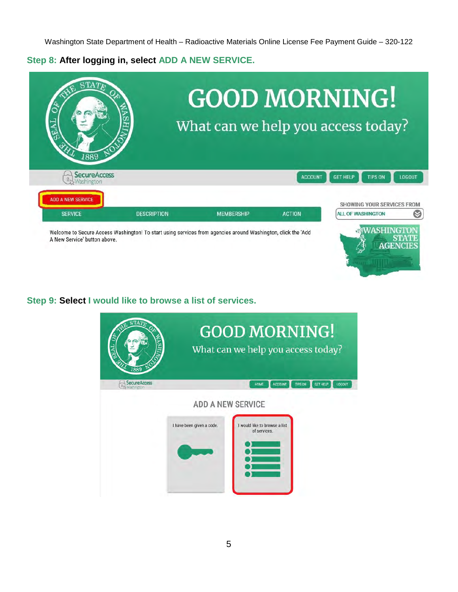**Step 8: After logging in, select ADD A NEW SERVICE.**

|                          | <b>GOOD MORNING!</b><br>What can we help you access today? |                |                                   |               |
|--------------------------|------------------------------------------------------------|----------------|-----------------------------------|---------------|
| 1889                     |                                                            |                |                                   |               |
| <b>SecureAccess</b>      |                                                            | <b>ACCOUNT</b> | <b>GET HELP</b><br><b>TIPS ON</b> | <b>LOGOUT</b> |
| <b>ADD A NEW SERVICE</b> |                                                            |                | SHOWING YOUR SERVICES FROM        |               |

**AGENCIES** 

 $\mathbb{Z}^{\mathbb{N}}$ 

**Step 9: Select I would like to browse a list of services.**

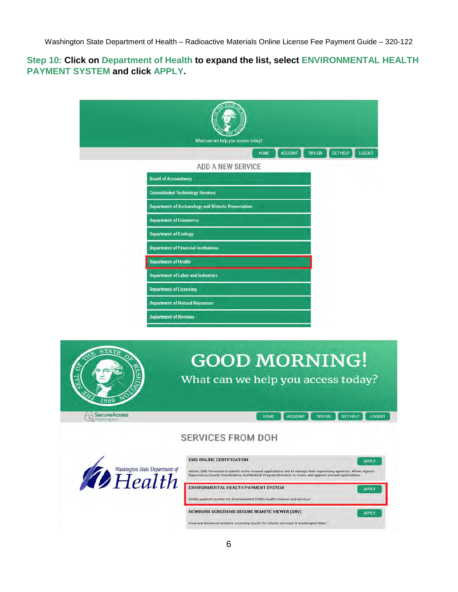#### **Step 10: Click on Department of Health to expand the list, select ENVIRONMENTAL HEALTH PAYMENT SYSTEM and click APPLY.**

|                                                            | <b>ACCOUNT</b><br><b>TIPS ON</b><br><b>GET HELP</b><br>HOME<br><b>LOGOUT</b>        |
|------------------------------------------------------------|-------------------------------------------------------------------------------------|
|                                                            | <b>ADD A NEW SERVICE</b>                                                            |
|                                                            | <b>Board of Accountancy</b>                                                         |
|                                                            | <b>Consolidated Technology Services</b>                                             |
|                                                            | <b>Department of Archaeology and Historic Preservation</b>                          |
|                                                            | <b>Department of Commerce</b>                                                       |
|                                                            | <b>Department of Ecology</b>                                                        |
|                                                            | <b>Department of Financial Institutions</b>                                         |
|                                                            | <b>Department of Health</b>                                                         |
|                                                            | <b>Department of Labor and Industries</b>                                           |
|                                                            | <b>Department of Licensing</b>                                                      |
|                                                            |                                                                                     |
|                                                            | <b>Department of Natural Resources</b>                                              |
|                                                            | <b>Department of Revenue</b>                                                        |
| $\mathbf{STA}T_{F}$                                        |                                                                                     |
| <b>TAN</b><br>1889                                         | <b>GOOD MORNING!</b><br>What can we help you access today?                          |
| <b>SecureAccess</b><br>$\overline{\Omega}_P$<br>Washington | <b>ACCOUNT</b><br><b>TIPS ON</b><br><b>GET HELP</b><br><b>HOME</b><br><b>LOGOUT</b> |
|                                                            | <b>SERVICES FROM DOH</b>                                                            |
|                                                            | <b>EMS ONLINE CERTIFICATION</b><br><b>APPLY</b>                                     |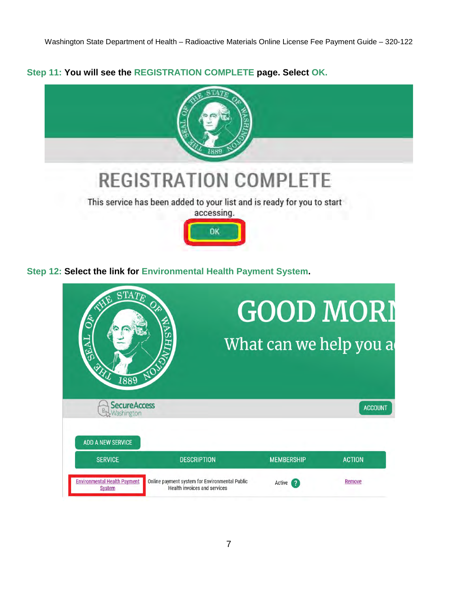**Step 11: You will see the REGISTRATION COMPLETE page. Select OK.**



**Step 12: Select the link for Environmental Health Payment System.** 

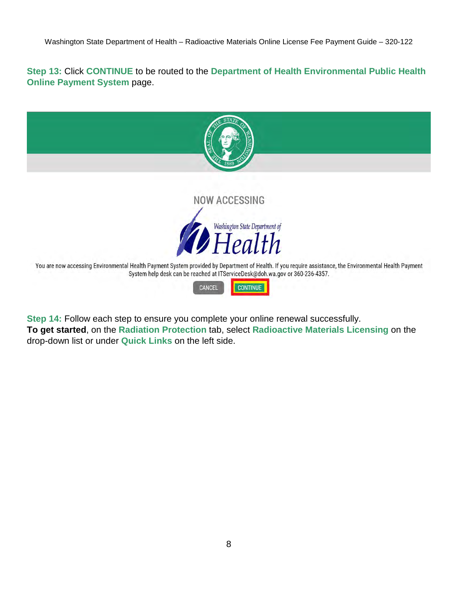**Step 13:** Click **CONTINUE** to be routed to the **Department of Health Environmental Public Health Online Payment System page.** 



**Step 14:** Follow each step to ensure you complete your online renewal successfully. **To get started**, on the **Radiation Protection** tab, select **Radioactive Materials Licensing** on the drop-down list or under **Quick Links** on the left side.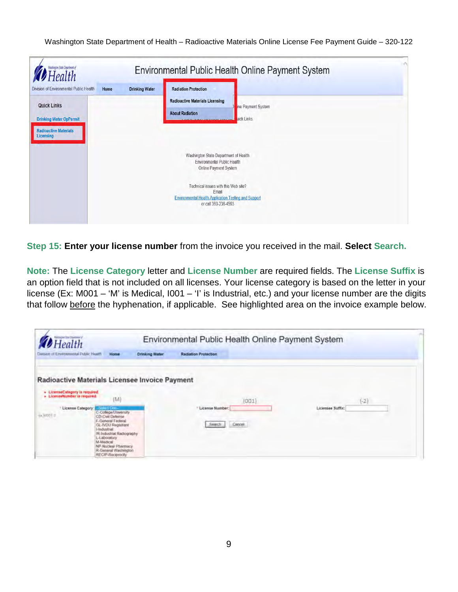| Health                                                                                                                                       |      |                       | Environmental Public Health Online Payment System                                                                                                                          |
|----------------------------------------------------------------------------------------------------------------------------------------------|------|-----------------------|----------------------------------------------------------------------------------------------------------------------------------------------------------------------------|
| Division of Environmental Public Health<br><b>Quick Links</b><br><b>Drinking Water OpPermit</b><br><b>Radioactive Materials</b><br>Licensing | Home | <b>Drinking Water</b> | <b>Radiation Protection</b><br><b>Radioactive Materials Licensing</b><br>ine Payment System<br><b>About Radiation</b><br><b>Luick Links.</b><br>************************** |
|                                                                                                                                              |      |                       | Washington State Department of Health<br>Environmental Public Health<br>Online Payment System                                                                              |
|                                                                                                                                              |      |                       | Technical issues with this Web site?<br>Email<br><b>Environmental Health Application Testing and Support</b><br>or call 360-236-4593                                       |

**Step 15: Enter your license number** from the invoice you received in the mail. **Select Search.** 

**Note:** The **License Category** letter and **License Number** are required fields. The **License Suffix** is an option field that is not included on all licenses. Your license category is based on the letter in your license (Ex: M001 – 'M' is Medical, I001 – 'I' is Industrial, etc.) and your license number are the digits that follow before the hyphenation, if applicable. See highlighted area on the invoice example below.

| Health                                                                                                           |                                                                                                                                                                                                                                |                       |                             | Environmental Public Health Online Payment System |                  |        |
|------------------------------------------------------------------------------------------------------------------|--------------------------------------------------------------------------------------------------------------------------------------------------------------------------------------------------------------------------------|-----------------------|-----------------------------|---------------------------------------------------|------------------|--------|
| Division of Environmental Public Health                                                                          | <b>Home</b>                                                                                                                                                                                                                    | <b>Drinking Water</b> | <b>Radiation Protection</b> |                                                   |                  |        |
| Radioactive Materials Licensee Invoice Payment<br>+ LicenseCategory is required.<br>» LicenseNumber is required. | [M]                                                                                                                                                                                                                            |                       |                             | (001)                                             |                  | $(-2)$ |
| <sup>7</sup> License Category:<br>ux M001 3<br><b>Lindustrial</b><br>M-Medical                                   | rius Crus<br>C-College/University<br><b>CD-Civit Delense</b><br>F-General Federal<br>GL-WDU Registrant<br>IR-Industrial Radiography<br>L-Laboratory<br>NP-Nuclear Pharmacy<br>R-General Washington<br><b>RECIP-Reciprocity</b> |                       | - License Number:<br>Searc  | Cancel                                            | Licensee Suffix: |        |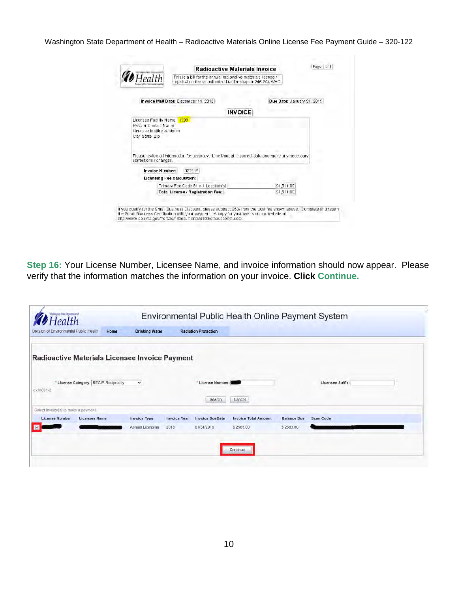|                        |                            | This is a bill for the annual radioactive materials license /<br>registration fee as authorized under chapter 246-254 WAC. |                                                                                                |                            |
|------------------------|----------------------------|----------------------------------------------------------------------------------------------------------------------------|------------------------------------------------------------------------------------------------|----------------------------|
|                        |                            | Invoice Mail Date: December 14, 2018                                                                                       |                                                                                                | Due Date: January 31, 2019 |
|                        |                            |                                                                                                                            | <b>INVOICE</b>                                                                                 |                            |
| City State Zip         | Licensee Mailing Address   |                                                                                                                            |                                                                                                |                            |
| corrections / changes, |                            |                                                                                                                            | Please review all information for accuracy. Line through incorrect data and make any necessary |                            |
|                        | Invoice Number:            | 032119                                                                                                                     |                                                                                                |                            |
|                        | Licensing Fee Calculation: |                                                                                                                            |                                                                                                |                            |
|                        |                            | Primary Fee Code 31 x 1 Location(s)                                                                                        | \$1,511.00                                                                                     |                            |
|                        |                            | Total License / Registration Fee:                                                                                          | \$1,511.00                                                                                     |                            |

**Step 16:** Your License Number, Licensee Name, and invoice information should now appear. Please verify that the information matches the information on your invoice. **Click Continue.**

| Division of Environmental Public Health | Home                                           | <b>Drinking Water</b>                   |                             | <b>Radiation Protection</b>          |                                          |                                 |                  |  |
|-----------------------------------------|------------------------------------------------|-----------------------------------------|-----------------------------|--------------------------------------|------------------------------------------|---------------------------------|------------------|--|
|                                         | Radioactive Materials Licensee Invoice Payment |                                         |                             |                                      |                                          |                                 |                  |  |
| ex:M001-2                               | * License Category: RECIP Reciprocity          | $\check{ }$                             |                             | * License Number:<br>Search          | Cancel                                   |                                 | Licensee Suffix: |  |
| Select Invoice(s) to make a payment.    |                                                |                                         |                             |                                      |                                          |                                 |                  |  |
| <b>License Number</b>                   | <b>Licensee Name</b>                           | <b>Invoice Type</b><br>Annual Licensing | <b>Invoice Year</b><br>2018 | <b>Invoice DueDate</b><br>01/31/2019 | <b>Invoice Total Amount</b><br>\$2583.00 | <b>Balance Due</b><br>\$2583.00 | <b>Scan Code</b> |  |
|                                         |                                                |                                         |                             |                                      |                                          |                                 |                  |  |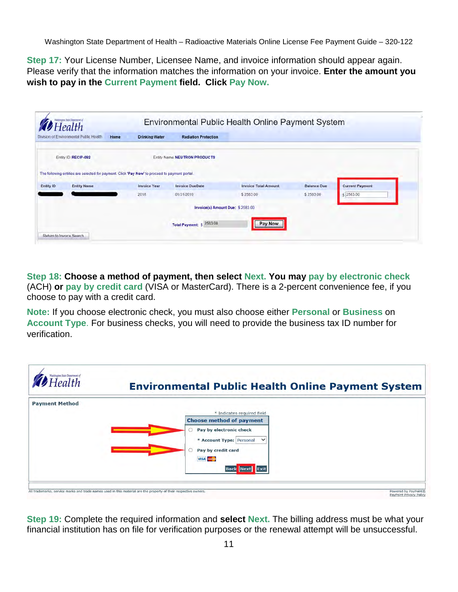**Step 17:** Your License Number, Licensee Name, and invoice information should appear again. Please verify that the information matches the information on your invoice. **Enter the amount you wish to pay in the Current Payment field. Click Pay Now.**

|           | Division of Environmental Public Health<br>Home | <b>Drinking Water</b>                                                                          | <b>Radiation Protection</b>   |                                  |                    |                        |
|-----------|-------------------------------------------------|------------------------------------------------------------------------------------------------|-------------------------------|----------------------------------|--------------------|------------------------|
|           | Entity ID: RECIP-092                            |                                                                                                | Entity Name: NEUTRON PRODUCTS |                                  |                    |                        |
|           |                                                 | The following entities are selected for payment. Click 'Pay Now' to proceed to payment portal. |                               |                                  |                    |                        |
|           |                                                 |                                                                                                |                               |                                  |                    |                        |
|           | <b>Entity Name</b>                              | <b>Invoice Year</b>                                                                            | <b>Invoice DueDate</b>        | <b>Invoice Total Amount</b>      | <b>Balance Due</b> | <b>Current Payment</b> |
|           |                                                 | 2018                                                                                           | 01/31/2019                    | \$2583.00                        | \$2583.00          | s 2583.00              |
| Entity ID |                                                 |                                                                                                |                               | Invoice(s) Amount Due: \$2583.00 |                    |                        |

**Step 18: Choose a method of payment, then select Next. You may pay by electronic check**  (ACH) **or pay by credit card** (VISA or MasterCard). There is a 2-percent convenience fee, if you choose to pay with a credit card.

**Note:** If you choose electronic check, you must also choose either **Personal** or **Business** on **Account Type**. For business checks, you will need to provide the business tax ID number for verification.



**Step 19:** Complete the required information and **select Next.** The billing address must be what your financial institution has on file for verification purposes or the renewal attempt will be unsuccessful.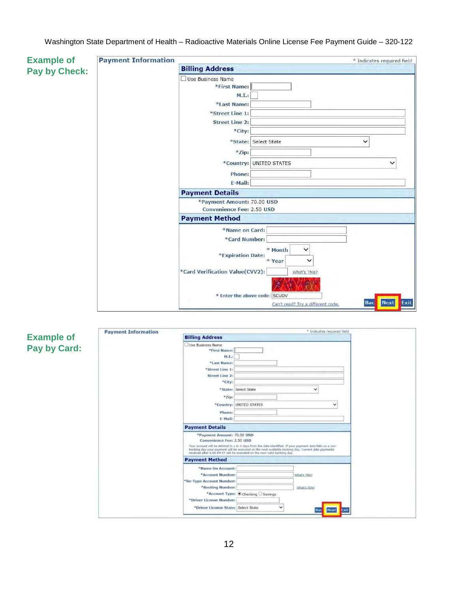| <b>Example of</b> | <b>Payment Information</b> |                                                                        | * Indicates required field        |
|-------------------|----------------------------|------------------------------------------------------------------------|-----------------------------------|
| Pay by Check:     |                            | <b>Billing Address</b>                                                 |                                   |
|                   |                            | Use Business Name                                                      |                                   |
|                   |                            | *First Name:                                                           |                                   |
|                   |                            | M.I.:                                                                  |                                   |
|                   |                            | *Last Name:                                                            |                                   |
|                   |                            | *Street Line 1:                                                        |                                   |
|                   |                            | <b>Street Line 2:</b>                                                  |                                   |
|                   |                            | *City:                                                                 |                                   |
|                   |                            | *State: Select State                                                   | ◡                                 |
|                   |                            | *Zip:                                                                  |                                   |
|                   |                            | *Country: UNITED STATES                                                | ◡                                 |
|                   |                            | Phone:                                                                 |                                   |
|                   |                            | E-Mail:                                                                |                                   |
|                   |                            | <b>Payment Details</b>                                                 |                                   |
|                   |                            | *Payment Amount: 70.00 USD                                             |                                   |
|                   |                            | Convenience Fee: 2.50 USD                                              |                                   |
|                   |                            | <b>Payment Method</b>                                                  |                                   |
|                   |                            | *Name on Card:                                                         |                                   |
|                   |                            | *Card Number:                                                          |                                   |
|                   |                            | * Month<br>$\checkmark$<br>*Expiration Date:<br>* Year<br>$\checkmark$ |                                   |
|                   |                            | *Card Verification Value(CVV2):<br>What's This?                        |                                   |
|                   |                            |                                                                        |                                   |
|                   |                            | * Enter the above code: SCUDV<br>Can't read? Try a different code.     | <b>Next</b><br>Exit<br><b>Bac</b> |
|                   |                            |                                                                        |                                   |

|                   | <b>Payment Information</b> | <sup>*</sup> Indicates required field                                                                                                                                                                                                                                                                                                                           |
|-------------------|----------------------------|-----------------------------------------------------------------------------------------------------------------------------------------------------------------------------------------------------------------------------------------------------------------------------------------------------------------------------------------------------------------|
| <b>Example of</b> |                            | <b>Billing Address</b>                                                                                                                                                                                                                                                                                                                                          |
| Pay by Card:      |                            | Use Business Name<br>*First Name:<br>M.L.<br>*Last Name:<br>*Street Line 1:<br><b>Street Line 2:</b><br>*City:<br>*State: Select State<br>◡<br>*Zip:<br>*Country: UNITED STATES<br>$\checkmark$                                                                                                                                                                 |
|                   |                            | Phone:<br>E-Mail:<br><b>Payment Details</b>                                                                                                                                                                                                                                                                                                                     |
|                   |                            | *Payment Amount: 70.00 USD<br><b>Convenience Fee: 2.50 USD</b><br>Your account will be debited in 1 to 3 days from the date identified. If your payment date falls on a non-<br>banking day your payment will be executed on the next available banking day. Current date payments<br>received after 6:00 PM ET will be executed on the next valid banking day. |
|                   |                            | <b>Payment Method</b>                                                                                                                                                                                                                                                                                                                                           |
|                   |                            | *Name On Account:<br>*Account Number:<br>What's This?<br>*Re-Type Account Number:                                                                                                                                                                                                                                                                               |
|                   |                            | *Routing Number:<br>What's This?<br>*Account Type: © Checking O Savings<br>*Driver License Number:                                                                                                                                                                                                                                                              |
|                   |                            | *Driver License State: Select State<br>$\check{ }$<br><b>Next</b><br>Bac<br>Exit                                                                                                                                                                                                                                                                                |